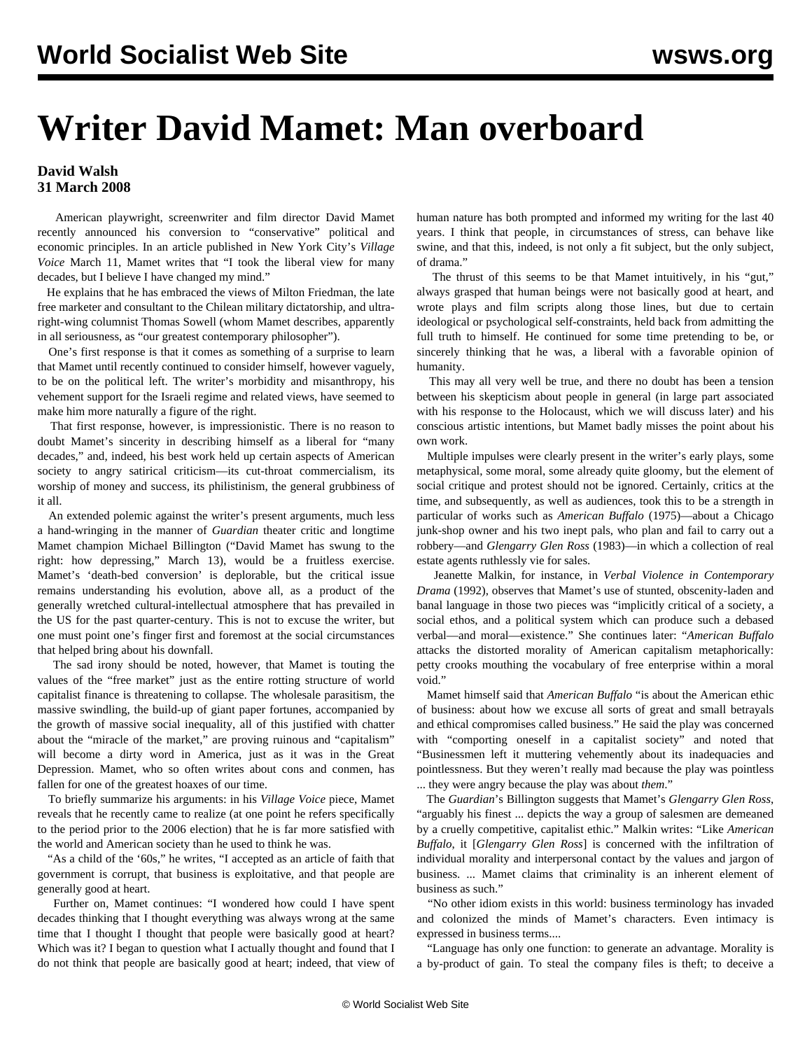## **Writer David Mamet: Man overboard**

## **David Walsh 31 March 2008**

 American playwright, screenwriter and film director David Mamet recently announced his conversion to "conservative" political and economic principles. In an article published in New York City's *Village Voice* March 11, Mamet writes that "I took the liberal view for many decades, but I believe I have changed my mind."

 He explains that he has embraced the views of Milton Friedman, the late free marketer and consultant to the Chilean military dictatorship, and ultraright-wing columnist Thomas Sowell (whom Mamet describes, apparently in all seriousness, as "our greatest contemporary philosopher").

 One's first response is that it comes as something of a surprise to learn that Mamet until recently continued to consider himself, however vaguely, to be on the political left. The writer's morbidity and misanthropy, his vehement support for the Israeli regime and related views, have seemed to make him more naturally a figure of the right.

 That first response, however, is impressionistic. There is no reason to doubt Mamet's sincerity in describing himself as a liberal for "many decades," and, indeed, his best work held up certain aspects of American society to angry satirical criticism—its cut-throat commercialism, its worship of money and success, its philistinism, the general grubbiness of it all.

 An extended polemic against the writer's present arguments, much less a hand-wringing in the manner of *Guardian* theater critic and longtime Mamet champion Michael Billington ("David Mamet has swung to the right: how depressing," March 13), would be a fruitless exercise. Mamet's 'death-bed conversion' is deplorable, but the critical issue remains understanding his evolution, above all, as a product of the generally wretched cultural-intellectual atmosphere that has prevailed in the US for the past quarter-century. This is not to excuse the writer, but one must point one's finger first and foremost at the social circumstances that helped bring about his downfall.

 The sad irony should be noted, however, that Mamet is touting the values of the "free market" just as the entire rotting structure of world capitalist finance is threatening to collapse. The wholesale parasitism, the massive swindling, the build-up of giant paper fortunes, accompanied by the growth of massive social inequality, all of this justified with chatter about the "miracle of the market," are proving ruinous and "capitalism" will become a dirty word in America, just as it was in the Great Depression. Mamet, who so often writes about cons and conmen, has fallen for one of the greatest hoaxes of our time.

 To briefly summarize his arguments: in his *Village Voice* piece, Mamet reveals that he recently came to realize (at one point he refers specifically to the period prior to the 2006 election) that he is far more satisfied with the world and American society than he used to think he was.

 "As a child of the '60s," he writes, "I accepted as an article of faith that government is corrupt, that business is exploitative, and that people are generally good at heart.

 Further on, Mamet continues: "I wondered how could I have spent decades thinking that I thought everything was always wrong at the same time that I thought I thought that people were basically good at heart? Which was it? I began to question what I actually thought and found that I do not think that people are basically good at heart; indeed, that view of human nature has both prompted and informed my writing for the last 40 years. I think that people, in circumstances of stress, can behave like swine, and that this, indeed, is not only a fit subject, but the only subject, of drama."

 The thrust of this seems to be that Mamet intuitively, in his "gut," always grasped that human beings were not basically good at heart, and wrote plays and film scripts along those lines, but due to certain ideological or psychological self-constraints, held back from admitting the full truth to himself. He continued for some time pretending to be, or sincerely thinking that he was, a liberal with a favorable opinion of humanity.

 This may all very well be true, and there no doubt has been a tension between his skepticism about people in general (in large part associated with his response to the Holocaust, which we will discuss later) and his conscious artistic intentions, but Mamet badly misses the point about his own work.

 Multiple impulses were clearly present in the writer's early plays, some metaphysical, some moral, some already quite gloomy, but the element of social critique and protest should not be ignored. Certainly, critics at the time, and subsequently, as well as audiences, took this to be a strength in particular of works such as *American Buffalo* (1975)—about a Chicago junk-shop owner and his two inept pals, who plan and fail to carry out a robbery—and *Glengarry Glen Ross* (1983)—in which a collection of real estate agents ruthlessly vie for sales.

 Jeanette Malkin, for instance, in *Verbal Violence in Contemporary Drama* (1992), observes that Mamet's use of stunted, obscenity-laden and banal language in those two pieces was "implicitly critical of a society, a social ethos, and a political system which can produce such a debased verbal—and moral—existence." She continues later: "*American Buffalo* attacks the distorted morality of American capitalism metaphorically: petty crooks mouthing the vocabulary of free enterprise within a moral void."

 Mamet himself said that *American Buffalo* "is about the American ethic of business: about how we excuse all sorts of great and small betrayals and ethical compromises called business." He said the play was concerned with "comporting oneself in a capitalist society" and noted that "Businessmen left it muttering vehemently about its inadequacies and pointlessness. But they weren't really mad because the play was pointless ... they were angry because the play was about *them*."

 The *Guardian*'s Billington suggests that Mamet's *Glengarry Glen Ross*, "arguably his finest ... depicts the way a group of salesmen are demeaned by a cruelly competitive, capitalist ethic." Malkin writes: "Like *American Buffalo*, it [*Glengarry Glen Ross*] is concerned with the infiltration of individual morality and interpersonal contact by the values and jargon of business. ... Mamet claims that criminality is an inherent element of business as such."

 "No other idiom exists in this world: business terminology has invaded and colonized the minds of Mamet's characters. Even intimacy is expressed in business terms....

 "Language has only one function: to generate an advantage. Morality is a by-product of gain. To steal the company files is theft; to deceive a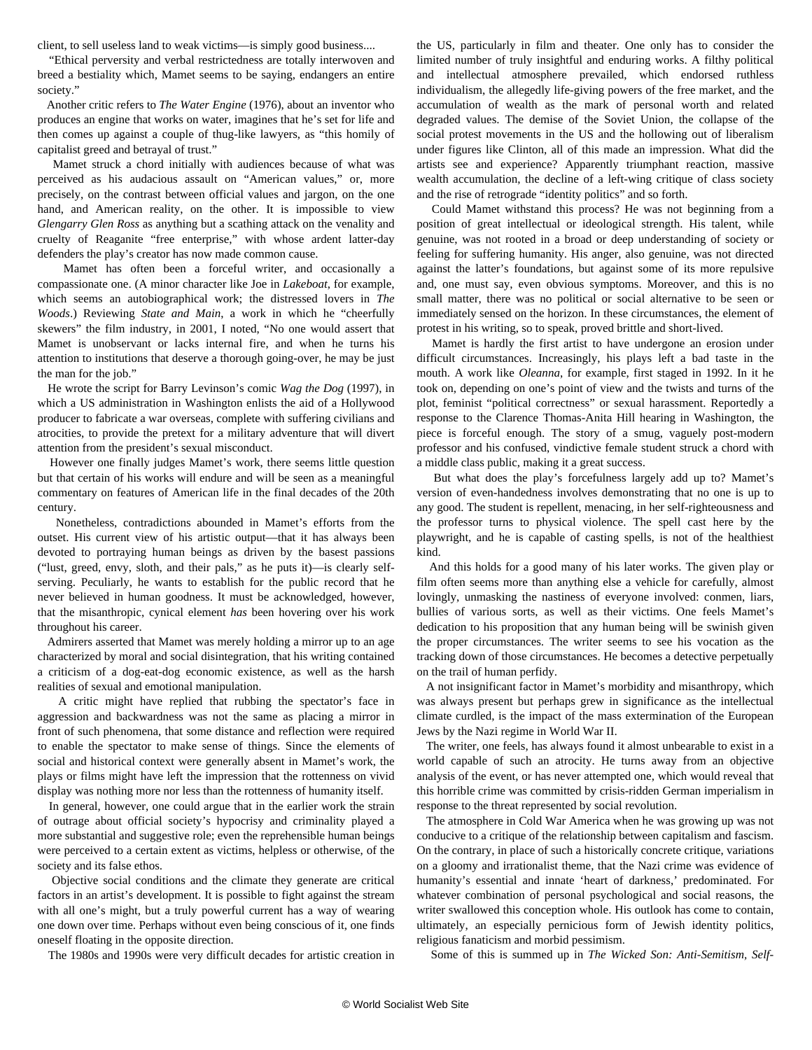client, to sell useless land to weak victims—is simply good business....

 "Ethical perversity and verbal restrictedness are totally interwoven and breed a bestiality which, Mamet seems to be saying, endangers an entire society."

 Another critic refers to *The Water Engine* (1976), about an inventor who produces an engine that works on water, imagines that he's set for life and then comes up against a couple of thug-like lawyers, as "this homily of capitalist greed and betrayal of trust."

 Mamet struck a chord initially with audiences because of what was perceived as his audacious assault on "American values," or, more precisely, on the contrast between official values and jargon, on the one hand, and American reality, on the other. It is impossible to view *Glengarry Glen Ross* as anything but a scathing attack on the venality and cruelty of Reaganite "free enterprise," with whose ardent latter-day defenders the play's creator has now made common cause.

 Mamet has often been a forceful writer, and occasionally a compassionate one. (A minor character like Joe in *Lakeboat*, for example, which seems an autobiographical work; the distressed lovers in *The Woods*.) Reviewing *State and Main*, a work in which he "cheerfully skewers" the film industry, in 2001, I noted, "No one would assert that Mamet is unobservant or lacks internal fire, and when he turns his attention to institutions that deserve a thorough going-over, he may be just the man for the job."

 He wrote the script for Barry Levinson's comic *Wag the Dog* (1997), in which a US administration in Washington enlists the aid of a Hollywood producer to fabricate a war overseas, complete with suffering civilians and atrocities, to provide the pretext for a military adventure that will divert attention from the president's sexual misconduct.

 However one finally judges Mamet's work, there seems little question but that certain of his works will endure and will be seen as a meaningful commentary on features of American life in the final decades of the 20th century.

 Nonetheless, contradictions abounded in Mamet's efforts from the outset. His current view of his artistic output—that it has always been devoted to portraying human beings as driven by the basest passions ("lust, greed, envy, sloth, and their pals," as he puts it)—is clearly selfserving. Peculiarly, he wants to establish for the public record that he never believed in human goodness. It must be acknowledged, however, that the misanthropic, cynical element *has* been hovering over his work throughout his career.

 Admirers asserted that Mamet was merely holding a mirror up to an age characterized by moral and social disintegration, that his writing contained a criticism of a dog-eat-dog economic existence, as well as the harsh realities of sexual and emotional manipulation.

 A critic might have replied that rubbing the spectator's face in aggression and backwardness was not the same as placing a mirror in front of such phenomena, that some distance and reflection were required to enable the spectator to make sense of things. Since the elements of social and historical context were generally absent in Mamet's work, the plays or films might have left the impression that the rottenness on vivid display was nothing more nor less than the rottenness of humanity itself.

 In general, however, one could argue that in the earlier work the strain of outrage about official society's hypocrisy and criminality played a more substantial and suggestive role; even the reprehensible human beings were perceived to a certain extent as victims, helpless or otherwise, of the society and its false ethos.

 Objective social conditions and the climate they generate are critical factors in an artist's development. It is possible to fight against the stream with all one's might, but a truly powerful current has a way of wearing one down over time. Perhaps without even being conscious of it, one finds oneself floating in the opposite direction.

The 1980s and 1990s were very difficult decades for artistic creation in

the US, particularly in film and theater. One only has to consider the limited number of truly insightful and enduring works. A filthy political and intellectual atmosphere prevailed, which endorsed ruthless individualism, the allegedly life-giving powers of the free market, and the accumulation of wealth as the mark of personal worth and related degraded values. The demise of the Soviet Union, the collapse of the social protest movements in the US and the hollowing out of liberalism under figures like Clinton, all of this made an impression. What did the artists see and experience? Apparently triumphant reaction, massive wealth accumulation, the decline of a left-wing critique of class society and the rise of retrograde "identity politics" and so forth.

 Could Mamet withstand this process? He was not beginning from a position of great intellectual or ideological strength. His talent, while genuine, was not rooted in a broad or deep understanding of society or feeling for suffering humanity. His anger, also genuine, was not directed against the latter's foundations, but against some of its more repulsive and, one must say, even obvious symptoms. Moreover, and this is no small matter, there was no political or social alternative to be seen or immediately sensed on the horizon. In these circumstances, the element of protest in his writing, so to speak, proved brittle and short-lived.

 Mamet is hardly the first artist to have undergone an erosion under difficult circumstances. Increasingly, his plays left a bad taste in the mouth. A work like *Oleanna*, for example, first staged in 1992. In it he took on, depending on one's point of view and the twists and turns of the plot, feminist "political correctness" or sexual harassment. Reportedly a response to the Clarence Thomas-Anita Hill hearing in Washington, the piece is forceful enough. The story of a smug, vaguely post-modern professor and his confused, vindictive female student struck a chord with a middle class public, making it a great success.

 But what does the play's forcefulness largely add up to? Mamet's version of even-handedness involves demonstrating that no one is up to any good. The student is repellent, menacing, in her self-righteousness and the professor turns to physical violence. The spell cast here by the playwright, and he is capable of casting spells, is not of the healthiest kind.

 And this holds for a good many of his later works. The given play or film often seems more than anything else a vehicle for carefully, almost lovingly, unmasking the nastiness of everyone involved: conmen, liars, bullies of various sorts, as well as their victims. One feels Mamet's dedication to his proposition that any human being will be swinish given the proper circumstances. The writer seems to see his vocation as the tracking down of those circumstances. He becomes a detective perpetually on the trail of human perfidy.

 A not insignificant factor in Mamet's morbidity and misanthropy, which was always present but perhaps grew in significance as the intellectual climate curdled, is the impact of the mass extermination of the European Jews by the Nazi regime in World War II.

 The writer, one feels, has always found it almost unbearable to exist in a world capable of such an atrocity. He turns away from an objective analysis of the event, or has never attempted one, which would reveal that this horrible crime was committed by crisis-ridden German imperialism in response to the threat represented by social revolution.

 The atmosphere in Cold War America when he was growing up was not conducive to a critique of the relationship between capitalism and fascism. On the contrary, in place of such a historically concrete critique, variations on a gloomy and irrationalist theme, that the Nazi crime was evidence of humanity's essential and innate 'heart of darkness,' predominated. For whatever combination of personal psychological and social reasons, the writer swallowed this conception whole. His outlook has come to contain, ultimately, an especially pernicious form of Jewish identity politics, religious fanaticism and morbid pessimism.

Some of this is summed up in *The Wicked Son: Anti-Semitism, Self-*